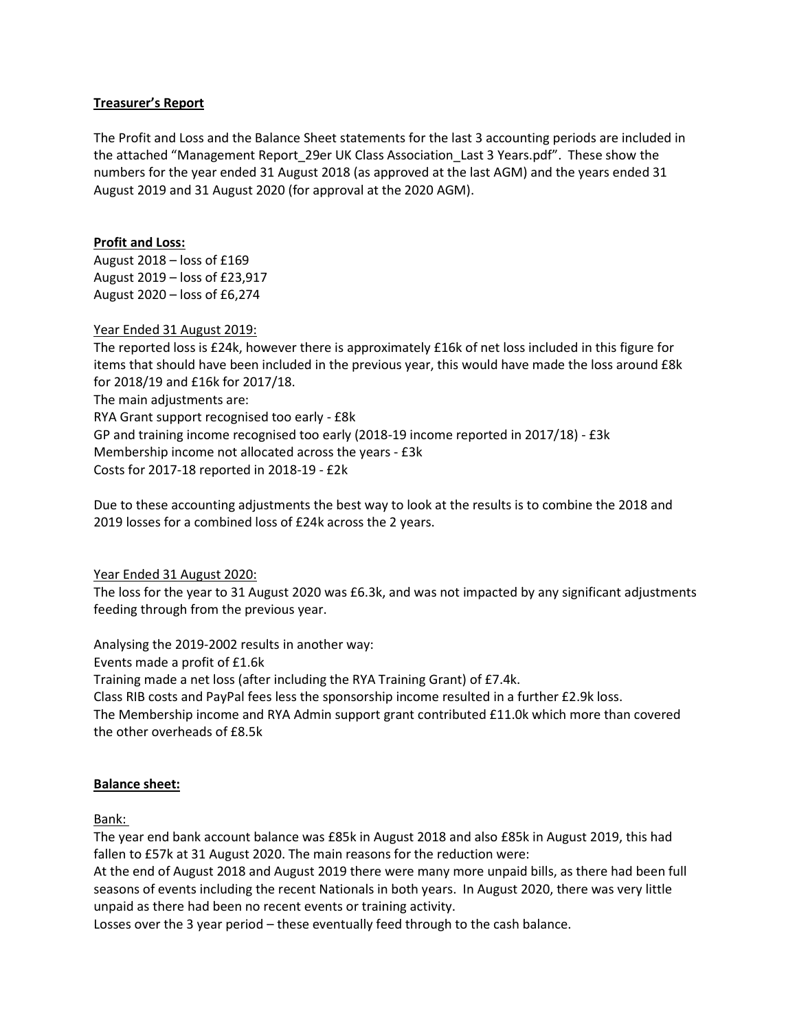# Treasurer's Report

The Profit and Loss and the Balance Sheet statements for the last 3 accounting periods are included in the attached "Management Report\_29er UK Class Association\_Last 3 Years.pdf". These show the numbers for the year ended 31 August 2018 (as approved at the last AGM) and the years ended 31 August 2019 and 31 August 2020 (for approval at the 2020 AGM).

#### Profit and Loss:

August 2018 – loss of £169 August 2019 – loss of £23,917 August 2020 – loss of £6,274

Year Ended 31 August 2019:

The reported loss is £24k, however there is approximately £16k of net loss included in this figure for items that should have been included in the previous year, this would have made the loss around £8k for 2018/19 and £16k for 2017/18. The main adjustments are: RYA Grant support recognised too early - £8k GP and training income recognised too early (2018-19 income reported in 2017/18) - £3k Membership income not allocated across the years - £3k Costs for 2017-18 reported in 2018-19 - £2k

Due to these accounting adjustments the best way to look at the results is to combine the 2018 and 2019 losses for a combined loss of £24k across the 2 years.

Year Ended 31 August 2020:

The loss for the year to 31 August 2020 was £6.3k, and was not impacted by any significant adjustments feeding through from the previous year.

Analysing the 2019-2002 results in another way:

Events made a profit of £1.6k

Training made a net loss (after including the RYA Training Grant) of £7.4k.

Class RIB costs and PayPal fees less the sponsorship income resulted in a further £2.9k loss.

The Membership income and RYA Admin support grant contributed £11.0k which more than covered the other overheads of £8.5k

# Balance sheet:

Bank:

The year end bank account balance was £85k in August 2018 and also £85k in August 2019, this had fallen to £57k at 31 August 2020. The main reasons for the reduction were:

At the end of August 2018 and August 2019 there were many more unpaid bills, as there had been full seasons of events including the recent Nationals in both years. In August 2020, there was very little unpaid as there had been no recent events or training activity.

Losses over the 3 year period – these eventually feed through to the cash balance.